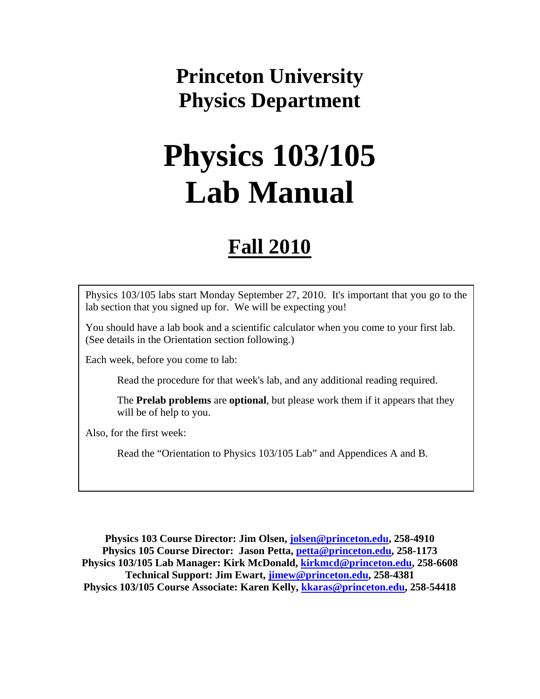# **Princeton University Physics Department**

# **Physics 103/105 Lab Manual**

# **Fall 2010**

Physics 103/105 labs start Monday September 27, 2010. It's important that you go to the lab section that you signed up for. We will be expecting you!

You should have a lab book and a scientific calculator when you come to your first lab. (See details in the Orientation section following.)

Each week, before you come to lab:

Read the procedure for that week's lab, and any additional reading required.

The **Prelab problems** are **optional**, but please work them if it appears that they will be of help to you.

Also, for the first week:

Read the "Orientation to Physics 103/105 Lab" and Appendices A and B.

**Physics 103 Course Director: Jim Olsen, jolsen@princeton.edu, 258-4910 Physics 105 Course Director: Jason Petta, petta@princeton.edu, 258-1173 Physics 103/105 Lab Manager: Kirk McDonald, kirkmcd@princeton.edu, 258-6608 Technical Support: Jim Ewart, jimew@princeton.edu, 258-4381 Physics 103/105 Course Associate: Karen Kelly, kkaras@princeton.edu, 258-54418**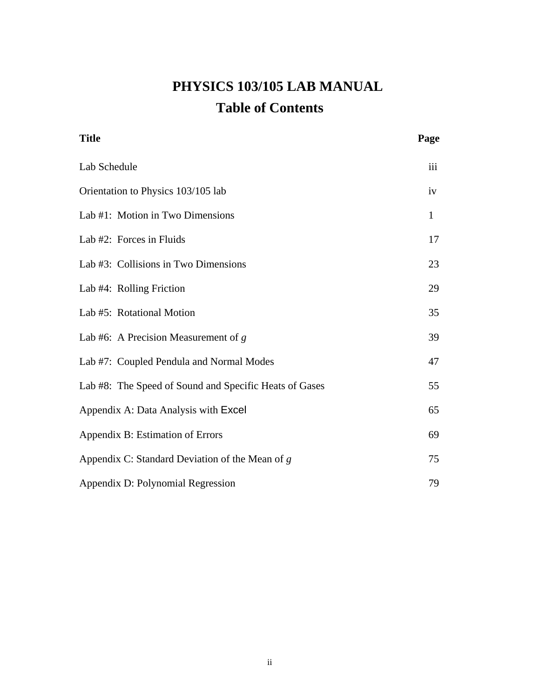## **PHYSICS 103/105 LAB MANUAL Table of Contents**

| <b>Title</b>                                           | Page         |
|--------------------------------------------------------|--------------|
| Lab Schedule                                           | iii          |
| Orientation to Physics 103/105 lab                     | iv           |
| Lab #1: Motion in Two Dimensions                       | $\mathbf{1}$ |
| Lab #2: Forces in Fluids                               | 17           |
| Lab #3: Collisions in Two Dimensions                   | 23           |
| Lab #4: Rolling Friction                               | 29           |
| Lab #5: Rotational Motion                              | 35           |
| Lab #6: A Precision Measurement of $g$                 | 39           |
| Lab #7: Coupled Pendula and Normal Modes               | 47           |
| Lab #8: The Speed of Sound and Specific Heats of Gases | 55           |
| Appendix A: Data Analysis with Excel                   | 65           |
| Appendix B: Estimation of Errors                       | 69           |
| Appendix C: Standard Deviation of the Mean of $g$      | 75           |
| Appendix D: Polynomial Regression                      | 79           |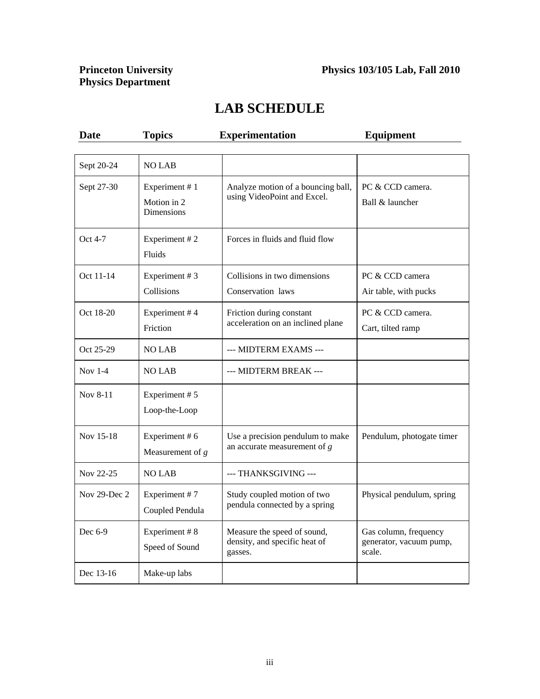# **Princeton University<br>Physics Department**

### **LAB SCHEDULE**

| <b>Date</b>  | <b>Topics</b>                                     | <b>Experimentation</b>                                                  | <b>Equipment</b>                                           |
|--------------|---------------------------------------------------|-------------------------------------------------------------------------|------------------------------------------------------------|
|              |                                                   |                                                                         |                                                            |
| Sept 20-24   | <b>NO LAB</b>                                     |                                                                         |                                                            |
| Sept 27-30   | Experiment #1<br>Motion in 2<br><b>Dimensions</b> | Analyze motion of a bouncing ball,<br>using VideoPoint and Excel.       | PC & CCD camera.<br>Ball & launcher                        |
| Oct 4-7      | Experiment #2<br>Fluids                           | Forces in fluids and fluid flow                                         |                                                            |
| Oct 11-14    | Experiment #3                                     | Collisions in two dimensions                                            | PC & CCD camera                                            |
|              | Collisions                                        | Conservation laws                                                       | Air table, with pucks                                      |
| Oct 18-20    | Experiment #4                                     | Friction during constant<br>acceleration on an inclined plane           | PC & CCD camera.                                           |
|              | Friction                                          |                                                                         | Cart, tilted ramp                                          |
| Oct 25-29    | <b>NO LAB</b>                                     | --- MIDTERM EXAMS ---                                                   |                                                            |
| Nov $1-4$    | <b>NO LAB</b>                                     | --- MIDTERM BREAK ---                                                   |                                                            |
| Nov 8-11     | Experiment #5<br>Loop-the-Loop                    |                                                                         |                                                            |
| Nov 15-18    | Experiment #6<br>Measurement of $g$               | Use a precision pendulum to make<br>an accurate measurement of $g$      | Pendulum, photogate timer                                  |
| Nov 22-25    | <b>NO LAB</b>                                     | --- THANKSGIVING ---                                                    |                                                            |
| Nov 29-Dec 2 | Experiment #7<br>Coupled Pendula                  | Study coupled motion of two<br>pendula connected by a spring            | Physical pendulum, spring                                  |
| Dec 6-9      | Experiment #8<br>Speed of Sound                   | Measure the speed of sound,<br>density, and specific heat of<br>gasses. | Gas column, frequency<br>generator, vacuum pump,<br>scale. |
| Dec 13-16    | Make-up labs                                      |                                                                         |                                                            |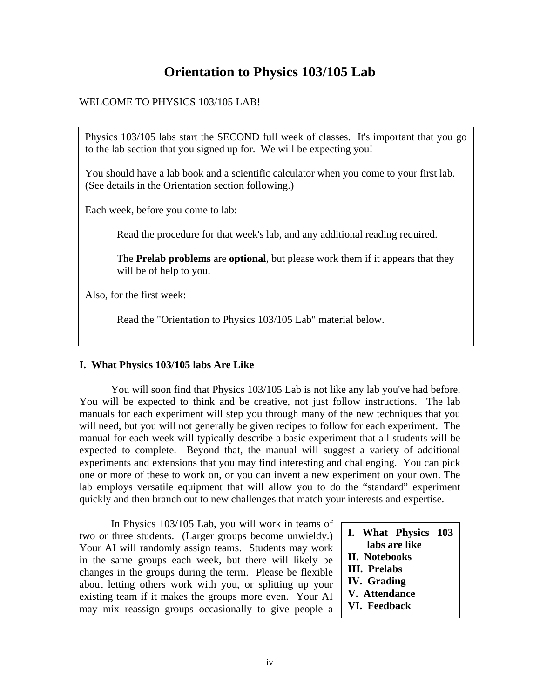### **Orientation to Physics 103/105 Lab**

#### WELCOME TO PHYSICS 103/105 LAB!

Physics 103/105 labs start the SECOND full week of classes. It's important that you go to the lab section that you signed up for. We will be expecting you!

You should have a lab book and a scientific calculator when you come to your first lab. (See details in the Orientation section following.)

Each week, before you come to lab:

Read the procedure for that week's lab, and any additional reading required.

The **Prelab problems** are **optional**, but please work them if it appears that they will be of help to you.

Also, for the first week:

Read the "Orientation to Physics 103/105 Lab" material below.

#### **I. What Physics 103/105 labs Are Like**

You will soon find that Physics 103/105 Lab is not like any lab you've had before. You will be expected to think and be creative, not just follow instructions. The lab manuals for each experiment will step you through many of the new techniques that you will need, but you will not generally be given recipes to follow for each experiment. The manual for each week will typically describe a basic experiment that all students will be expected to complete. Beyond that, the manual will suggest a variety of additional experiments and extensions that you may find interesting and challenging. You can pick one or more of these to work on, or you can invent a new experiment on your own. The lab employs versatile equipment that will allow you to do the "standard" experiment quickly and then branch out to new challenges that match your interests and expertise.

In Physics 103/105 Lab, you will work in teams of two or three students. (Larger groups become unwieldy.) Your AI will randomly assign teams. Students may work in the same groups each week, but there will likely be changes in the groups during the term. Please be flexible about letting others work with you, or splitting up your existing team if it makes the groups more even. Your AI may mix reassign groups occasionally to give people a

**I. What Physics 103** 

- **labs are like II. Notebooks**
- **III. Prelabs**
- **IV. Grading**
- **V. Attendance**
- **VI. Feedback**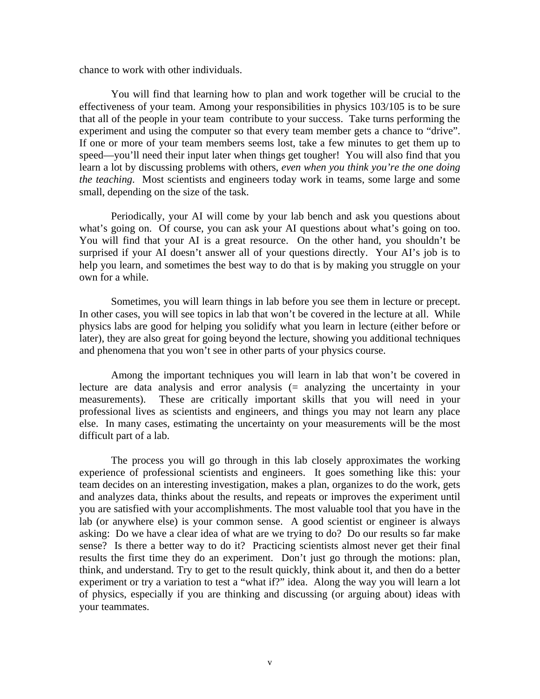chance to work with other individuals.

You will find that learning how to plan and work together will be crucial to the effectiveness of your team. Among your responsibilities in physics 103/105 is to be sure that all of the people in your team contribute to your success. Take turns performing the experiment and using the computer so that every team member gets a chance to "drive". If one or more of your team members seems lost, take a few minutes to get them up to speed—you'll need their input later when things get tougher! You will also find that you learn a lot by discussing problems with others, *even when you think you're the one doing the teaching*. Most scientists and engineers today work in teams, some large and some small, depending on the size of the task.

Periodically, your AI will come by your lab bench and ask you questions about what's going on. Of course, you can ask your AI questions about what's going on too. You will find that your AI is a great resource. On the other hand, you shouldn't be surprised if your AI doesn't answer all of your questions directly. Your AI's job is to help you learn, and sometimes the best way to do that is by making you struggle on your own for a while.

Sometimes, you will learn things in lab before you see them in lecture or precept. In other cases, you will see topics in lab that won't be covered in the lecture at all. While physics labs are good for helping you solidify what you learn in lecture (either before or later), they are also great for going beyond the lecture, showing you additional techniques and phenomena that you won't see in other parts of your physics course.

 Among the important techniques you will learn in lab that won't be covered in lecture are data analysis and error analysis (= analyzing the uncertainty in your measurements). These are critically important skills that you will need in your professional lives as scientists and engineers, and things you may not learn any place else. In many cases, estimating the uncertainty on your measurements will be the most difficult part of a lab.

The process you will go through in this lab closely approximates the working experience of professional scientists and engineers. It goes something like this: your team decides on an interesting investigation, makes a plan, organizes to do the work, gets and analyzes data, thinks about the results, and repeats or improves the experiment until you are satisfied with your accomplishments. The most valuable tool that you have in the lab (or anywhere else) is your common sense. A good scientist or engineer is always asking: Do we have a clear idea of what are we trying to do? Do our results so far make sense? Is there a better way to do it? Practicing scientists almost never get their final results the first time they do an experiment. Don't just go through the motions: plan, think, and understand. Try to get to the result quickly, think about it, and then do a better experiment or try a variation to test a "what if?" idea. Along the way you will learn a lot of physics, especially if you are thinking and discussing (or arguing about) ideas with your teammates.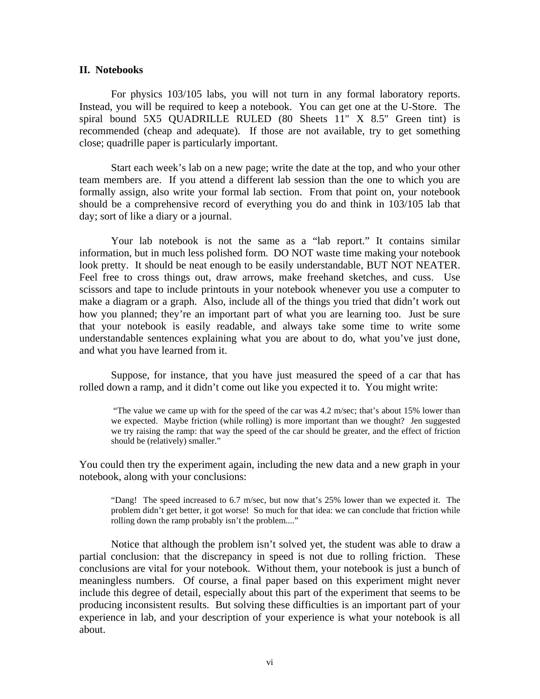#### **II. Notebooks**

For physics 103/105 labs, you will not turn in any formal laboratory reports. Instead, you will be required to keep a notebook. You can get one at the U-Store. The spiral bound 5X5 QUADRILLE RULED (80 Sheets 11" X 8.5" Green tint) is recommended (cheap and adequate). If those are not available, try to get something close; quadrille paper is particularly important.

Start each week's lab on a new page; write the date at the top, and who your other team members are. If you attend a different lab session than the one to which you are formally assign, also write your formal lab section. From that point on, your notebook should be a comprehensive record of everything you do and think in 103/105 lab that day; sort of like a diary or a journal.

Your lab notebook is not the same as a "lab report." It contains similar information, but in much less polished form. DO NOT waste time making your notebook look pretty. It should be neat enough to be easily understandable, BUT NOT NEATER. Feel free to cross things out, draw arrows, make freehand sketches, and cuss. Use scissors and tape to include printouts in your notebook whenever you use a computer to make a diagram or a graph. Also, include all of the things you tried that didn't work out how you planned; they're an important part of what you are learning too. Just be sure that your notebook is easily readable, and always take some time to write some understandable sentences explaining what you are about to do, what you've just done, and what you have learned from it.

Suppose, for instance, that you have just measured the speed of a car that has rolled down a ramp, and it didn't come out like you expected it to. You might write:

 "The value we came up with for the speed of the car was 4.2 m/sec; that's about 15% lower than we expected. Maybe friction (while rolling) is more important than we thought? Jen suggested we try raising the ramp: that way the speed of the car should be greater, and the effect of friction should be (relatively) smaller."

You could then try the experiment again, including the new data and a new graph in your notebook, along with your conclusions:

"Dang! The speed increased to 6.7 m/sec, but now that's 25% lower than we expected it. The problem didn't get better, it got worse! So much for that idea: we can conclude that friction while rolling down the ramp probably isn't the problem...."

Notice that although the problem isn't solved yet, the student was able to draw a partial conclusion: that the discrepancy in speed is not due to rolling friction. These conclusions are vital for your notebook. Without them, your notebook is just a bunch of meaningless numbers. Of course, a final paper based on this experiment might never include this degree of detail, especially about this part of the experiment that seems to be producing inconsistent results. But solving these difficulties is an important part of your experience in lab, and your description of your experience is what your notebook is all about.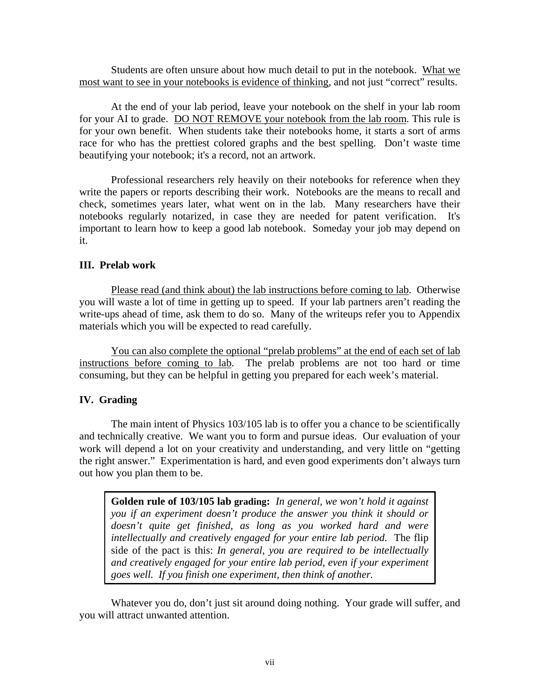Students are often unsure about how much detail to put in the notebook. What we most want to see in your notebooks is evidence of thinking, and not just "correct" results.

At the end of your lab period, leave your notebook on the shelf in your lab room for your AI to grade. DO NOT REMOVE your notebook from the lab room. This rule is for your own benefit. When students take their notebooks home, it starts a sort of arms race for who has the prettiest colored graphs and the best spelling. Don't waste time beautifying your notebook; it's a record, not an artwork.

Professional researchers rely heavily on their notebooks for reference when they write the papers or reports describing their work. Notebooks are the means to recall and check, sometimes years later, what went on in the lab. Many researchers have their notebooks regularly notarized, in case they are needed for patent verification. It's important to learn how to keep a good lab notebook. Someday your job may depend on it.

#### **III. Prelab work**

Please read (and think about) the lab instructions before coming to lab. Otherwise you will waste a lot of time in getting up to speed. If your lab partners aren't reading the write-ups ahead of time, ask them to do so. Many of the writeups refer you to Appendix materials which you will be expected to read carefully.

You can also complete the optional "prelab problems" at the end of each set of lab instructions before coming to lab. The prelab problems are not too hard or time consuming, but they can be helpful in getting you prepared for each week's material.

#### **IV. Grading**

The main intent of Physics 103/105 lab is to offer you a chance to be scientifically and technically creative. We want you to form and pursue ideas. Our evaluation of your work will depend a lot on your creativity and understanding, and very little on "getting the right answer." Experimentation is hard, and even good experiments don't always turn out how you plan them to be.

**Golden rule of 103/105 lab grading:** *In general, we won't hold it against you if an experiment doesn't produce the answer you think it should or doesn't quite get finished, as long as you worked hard and were intellectually and creatively engaged for your entire lab period.* The flip side of the pact is this: *In general, you are required to be intellectually and creatively engaged for your entire lab period, even if your experiment goes well. If you finish one experiment, then think of another.*

Whatever you do, don't just sit around doing nothing. Your grade will suffer, and you will attract unwanted attention.